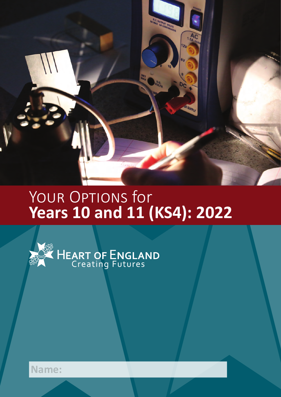

# YOUR OPTIONS for<br>Years 10 and 11 (KS4): 2022



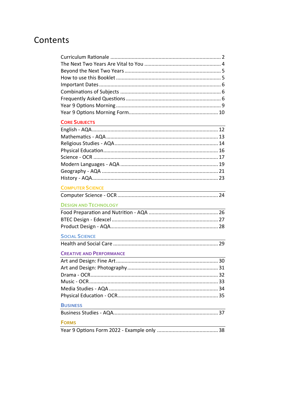# Contents

| <b>CORE SUBJECTS</b>                                                                                                                            |
|-------------------------------------------------------------------------------------------------------------------------------------------------|
|                                                                                                                                                 |
|                                                                                                                                                 |
|                                                                                                                                                 |
|                                                                                                                                                 |
|                                                                                                                                                 |
|                                                                                                                                                 |
|                                                                                                                                                 |
|                                                                                                                                                 |
| <b>COMPUTER SCIENCE</b>                                                                                                                         |
|                                                                                                                                                 |
| <b>DESIGN AND TECHNOLOGY</b>                                                                                                                    |
|                                                                                                                                                 |
|                                                                                                                                                 |
|                                                                                                                                                 |
| <b>SOCIAL SCIENCE</b><br><u> 1980 - Johann Stoff, deutscher Stoffen und der Stoffen und der Stoffen und der Stoffen und der Stoffen und der</u> |
|                                                                                                                                                 |
| <b>CREATIVE AND PERFORMANCE</b>                                                                                                                 |
|                                                                                                                                                 |
|                                                                                                                                                 |
|                                                                                                                                                 |
|                                                                                                                                                 |
|                                                                                                                                                 |
|                                                                                                                                                 |
| <b>BUSINESS</b>                                                                                                                                 |
|                                                                                                                                                 |
| <b>FORMS</b>                                                                                                                                    |
|                                                                                                                                                 |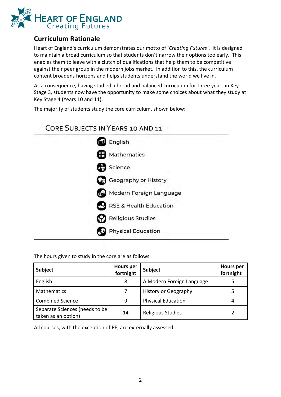

# <span id="page-2-0"></span>**Curriculum Rationale**

Heart of England's curriculum demonstrates our motto of '*Creating Futures'*. It is designed to maintain a broad curriculum so that students don't narrow their options too early. This enables them to leave with a clutch of qualifications that help them to be competitive against their peer group in the modern jobs market. In addition to this, the curriculum content broadens horizons and helps students understand the world we live in.

As a consequence, having studied a broad and balanced curriculum for three years in Key Stage 3, students now have the opportunity to make some choices about what they study at Key Stage 4 (Years 10 and 11).

The majority of students study the core curriculum, shown below:

# **CORE SUBJECTS IN YEARS 10 AND 11**



The hours given to study in the core are as follows:

| Subject                                               | <b>Hours per</b><br>fortnight | <b>Subject</b>              | <b>Hours</b> per<br>fortnight |
|-------------------------------------------------------|-------------------------------|-----------------------------|-------------------------------|
| English                                               | 8                             | A Modern Foreign Language   |                               |
| <b>Mathematics</b>                                    |                               | <b>History or Geography</b> |                               |
| <b>Combined Science</b>                               | 9                             | <b>Physical Education</b>   | 4                             |
| Separate Sciences (needs to be<br>taken as an option) | 14                            | <b>Religious Studies</b>    |                               |

All courses, with the exception of PE, are externally assessed.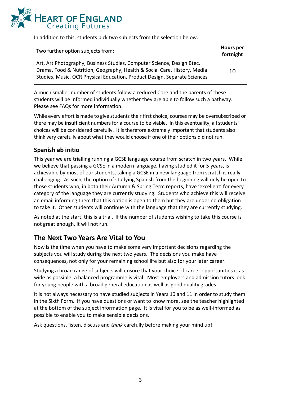

In addition to this, students pick two subjects from the selection below.

| Two further option subjects from:                                                                                                                                                                                               | <b>Hours</b> per<br>fortnight |
|---------------------------------------------------------------------------------------------------------------------------------------------------------------------------------------------------------------------------------|-------------------------------|
| Art, Art Photography, Business Studies, Computer Science, Design Btec,<br>Drama, Food & Nutrition, Geography, Health & Social Care, History, Media<br>Studies, Music, OCR Physical Education, Product Design, Separate Sciences | 10                            |

A much smaller number of students follow a reduced Core and the parents of these students will be informed individually whether they are able to follow such a pathway. Please see FAQs for more information.

While every effort is made to give students their first choice, courses may be oversubscribed or there may be insufficient numbers for a course to be viable. In this eventuality, all students' choices will be considered carefully. It is therefore extremely important that students also think very carefully about what they would choose if one of their options did not run.

## **Spanish ab initio**

This year we are trialling running a GCSE language course from scratch in two years. While we believe that passing a GCSE in a modern language, having studied it for 5 years, is achievable by most of our students, taking a GCSE in a new language from scratch is really challenging. As such, the option of studying Spanish from the beginning will only be open to those students who, in both their Autumn & Spring Term reports, have 'excellent' for every category of the language they are currently studying. Students who achieve this will receive an email informing them that this option is open to them but they are under no obligation to take it. Other students will continue with the language that they are currently studying.

As noted at the start, this is a trial. If the number of students wishing to take this course is not great enough, it will not run.

# **The Next Two Years Are Vital to You**

Now is the time when you have to make some very important decisions regarding the subjects you will study during the next two years. The decisions you make have consequences, not only for your remaining school life but also for your later career.

Studying a broad range of subjects will ensure that your choice of career opportunities is as wide as possible: a balanced programme is vital. Most employers and admission tutors look for young people with a broad general education as well as good quality grades.

It is not always necessary to have studied subjects in Years 10 and 11 in order to study them in the Sixth Form. If you have questions or want to know more, see the teacher highlighted at the bottom of the subject information page. It is vital for you to be as well-informed as possible to enable you to make sensible decisions.

Ask questions, listen, discuss and *think* carefully before making your mind up!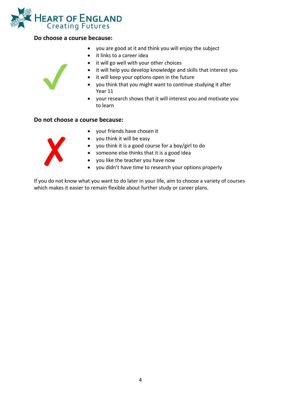

#### **Do choose a course because:**

- you are good at it and think you will enjoy the subject
- it links to a career idea
- it will go well with your other choices
- it will help you develop knowledge and skills that interest you
- it will keep your options open in the future
- you think that you might want to continue studying it after Year 11
- your research shows that it will interest you and motivate you to learn

#### **Do not choose a course because:**



✔︎

- your friends have chosen it
- you think it will be easy
- you think it is a good course for a boy/girl to do
- someone else thinks that it is a good idea
- you like the teacher you have now
- you didn't have time to research your options properly

If you do not know what you want to do later in your life, aim to choose a variety of courses which makes it easier to remain flexible about further study or career plans.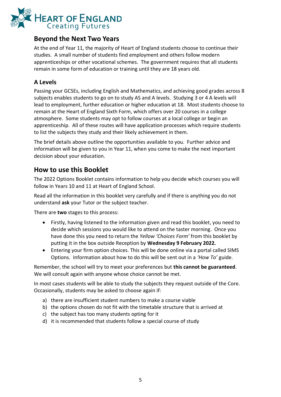

# **Beyond the Next Two Years**

At the end of Year 11, the majority of Heart of England students choose to continue their studies. A small number of students find employment and others follow modern apprenticeships or other vocational schemes. The government requires that all students remain in some form of education or training until they are 18 years old.

## **A Levels**

Passing your GCSEs, including English and Mathematics, and achieving good grades across 8 subjects enables students to go on to study AS and A levels. Studying 3 or 4 A levels will lead to employment, further education or higher education at 18. Most students choose to remain at the Heart of England Sixth Form, which offers over 20 courses in a college atmosphere. Some students may opt to follow courses at a local college or begin an apprenticeship. All of these routes will have application processes which require students to list the subjects they study and their likely achievement in them.

The brief details above outline the opportunities available to you. Further advice and information will be given to you in Year 11, when you come to make the next important decision about your education.

# **How to use this Booklet**

The 2022 Options Booklet contains information to help you decide which courses you will follow in Years 10 and 11 at Heart of England School.

Read all the information in this booklet very carefully and if there is anything you do not understand **ask** your Tutor or the subject teacher.

There are **two** stages to this process:

- Firstly, having listened to the information given and read this booklet, you need to decide which sessions you would like to attend on the taster morning. Once you have done this you need to return the *Yellow 'Choices Form'* from this booklet by putting it in the box outside Reception by **Wednesday 9 February 2022.**
- Entering your firm option choices. This will be done online via a portal called SIMS Options. Information about how to do this will be sent out in a *'How To'* guide.

Remember, the school will try to meet your preferences but **this cannot be guaranteed**. We will consult again with anyone whose choice cannot be met.

In most cases students will be able to study the subjects they request outside of the Core. Occasionally, students may be asked to choose again if:

- a) there are insufficient student numbers to make a course viable
- b) the options chosen do not fit with the timetable structure that is arrived at
- c) the subject has too many students opting for it
- d) it is recommended that students follow a special course of study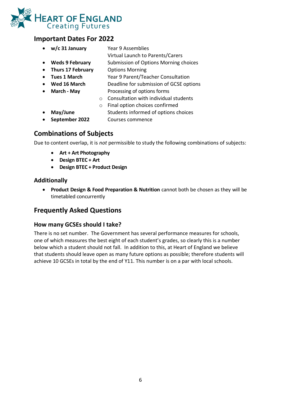

# <span id="page-6-0"></span>**Important Dates For 2022**

- **w/c 31 January** Year 9 Assemblies
	- Virtual Launch to Parents/Carers
- **Weds 9 February** Submission of Options Morning choices
- **Thurs 17 February** Options Morning
- **Tues 1 March** Year 9 Parent/Teacher Consultation
- **Wed 16 March** Deadline for submission of GCSE options
- 
- **March - May** Processing of options forms
	- o Consultation with individual students
	- o Final option choices confirmed
- **May/June** Students informed of options choices
	- **September 2022** Courses commence

# <span id="page-6-1"></span>**Combinations of Subjects**

Due to content overlap, it is *not* permissible to study the following combinations of subjects:

- **Art + Art Photography**
- **Design BTEC + Art**
- **Design BTEC + Product Design**

## **Additionally**

• **Product Design & Food Preparation & Nutrition** cannot both be chosen as they will be timetabled concurrently

# <span id="page-6-2"></span>**Frequently Asked Questions**

## **How many GCSEs should I take?**

There is no set number. The Government has several performance measures for schools, one of which measures the best eight of each student's grades, so clearly this is a number below which a student should not fall. In addition to this, at Heart of England we believe that students should leave open as many future options as possible; therefore students will achieve 10 GCSEs in total by the end of Y11. This number is on a par with local schools.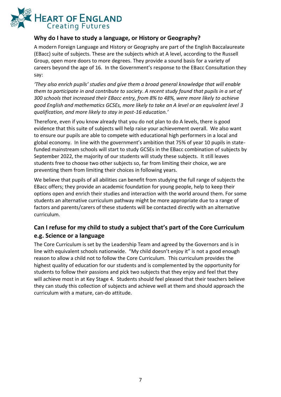

## **Why do I have to study a language, or History or Geography?**

A modern Foreign Language and History or Geography are part of the English Baccalaureate (EBacc) suite of subjects. These are the subjects which at A level, according to the Russell Group, open more doors to more degrees. They provide a sound basis for a variety of careers beyond the age of 16. In the Government's response to the EBacc Consultation they say:

*'They also enrich pupils' studies and give them a broad general knowledge that will enable them to participate in and contribute to society. A recent study found that pupils in a set of 300 schools that increased their EBacc entry, from 8% to 48%, were more likely to achieve good English and mathematics GCSEs, more likely to take an A level or an equivalent level 3 qualification, and more likely to stay in post-16 education.'*

Therefore, even if you know already that you do not plan to do A levels, there is good evidence that this suite of subjects will help raise your achievement overall. We also want to ensure our pupils are able to compete with educational high performers in a local and global economy. In line with the government's ambition that 75% of year 10 pupils in statefunded mainstream schools will start to study GCSEs in the EBacc combination of subjects by September 2022, the majority of our students will study these subjects. It still leaves students free to choose two other subjects so, far from limiting their choice, we are preventing them from limiting their choices in following years.

We believe that pupils of all abilities can benefit from studying the full range of subjects the EBacc offers; they provide an academic foundation for young people, help to keep their options open and enrich their studies and interaction with the world around them. For some students an alternative curriculum pathway might be more appropriate due to a range of factors and parents/carers of these students will be contacted directly with an alternative curriculum.

# **Can I refuse for my child to study a subject that's part of the Core Curriculum e.g. Science or a language**

The Core Curriculum is set by the Leadership Team and agreed by the Governors and is in line with equivalent schools nationwide. "My child doesn't enjoy it" is not a good enough reason to allow a child not to follow the Core Curriculum. This curriculum provides the highest quality of education for our students and is complemented by the opportunity for students to follow their passions and pick two subjects that they enjoy and feel that they will achieve most in at Key Stage 4. Students should feel pleased that their teachers believe they can study this collection of subjects and achieve well at them and should approach the curriculum with a mature, can-do attitude.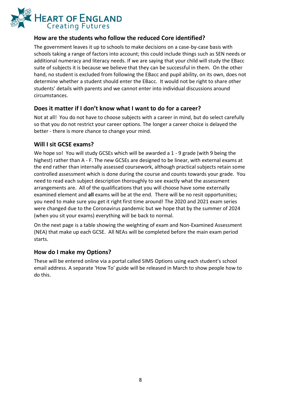

## **How are the students who follow the reduced Core identified?**

The government leaves it up to schools to make decisions on a case-by-case basis with schools taking a range of factors into account; this could include things such as SEN needs or additional numeracy and literacy needs. If we are saying that your child will study the EBacc suite of subjects it is because we believe that they can be successful in them. On the other hand, no student is excluded from following the EBacc and pupil ability, on its own, does not determine whether a student should enter the EBacc. It would not be right to share other students' details with parents and we cannot enter into individual discussions around circumstances.

## **Does it matter if I don't know what I want to do for a career?**

Not at all! You do not have to choose subjects with a career in mind, but do select carefully so that you do not restrict your career options. The longer a career choice is delayed the better - there is more chance to change your mind.

#### **Will I sit GCSE exams?**

We hope so! You will study GCSEs which will be awarded a 1 - 9 grade (with 9 being the highest) rather than A - F. The new GCSEs are designed to be linear, with external exams at the end rather than internally assessed coursework, although practical subjects retain some controlled assessment which is done during the course and counts towards your grade. You need to read each subject description thoroughly to see exactly what the assessment arrangements are. All of the qualifications that you will choose have some externally examined element and **all** exams will be at the end. There will be no resit opportunities; you need to make sure you get it right first time around! The 2020 and 2021 exam series were changed due to the Coronavirus pandemic but we hope that by the summer of 2024 (when you sit your exams) everything will be back to normal.

On the next page is a table showing the weighting of exam and Non-Examined Assessment (NEA) that make up each GCSE. All NEAs will be completed before the main exam period starts.

#### **How do I make my Options?**

These will be entered online via a portal called SIMS Options using each student's school email address. A separate 'How To' guide will be released in March to show people how to do this.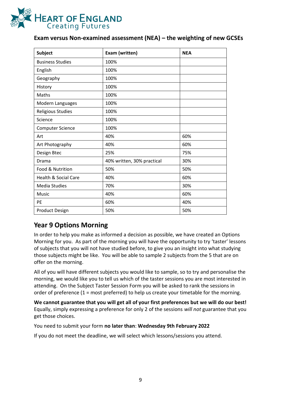

## **Exam versus Non-examined assessment (NEA) – the weighting of new GCSEs**

| <b>Subject</b>                  | Exam (written)             | <b>NEA</b> |
|---------------------------------|----------------------------|------------|
| <b>Business Studies</b>         | 100%                       |            |
| English                         | 100%                       |            |
| Geography                       | 100%                       |            |
| History                         | 100%                       |            |
| Maths                           | 100%                       |            |
| Modern Languages                | 100%                       |            |
| Religious Studies               | 100%                       |            |
| Science                         | 100%                       |            |
| <b>Computer Science</b>         | 100%                       |            |
| Art                             | 40%                        | 60%        |
| Art Photography                 | 40%                        | 60%        |
| Design Btec                     | 25%                        | 75%        |
| Drama                           | 40% written, 30% practical | 30%        |
| Food & Nutrition                | 50%                        | 50%        |
| <b>Health &amp; Social Care</b> | 40%                        | 60%        |
| <b>Media Studies</b>            | 70%                        | 30%        |
| Music                           | 40%                        | 60%        |
| <b>PE</b>                       | 60%                        | 40%        |
| <b>Product Design</b>           | 50%                        | 50%        |

# **Year 9 Options Morning**

In order to help you make as informed a decision as possible, we have created an Options Morning for you. As part of the morning you will have the opportunity to try 'taster' lessons of subjects that you will not have studied before, to give you an insight into what studying those subjects might be like. You will be able to sample 2 subjects from the 5 that are on offer on the morning.

All of you will have different subjects you would like to sample, so to try and personalise the morning, we would like you to tell us which of the taster sessions you are most interested in attending. On the Subject Taster Session Form you will be asked to rank the sessions in order of preference (1 = most preferred) to help us create your timetable for the morning.

**We cannot guarantee that you will get all of your first preferences but we will do our best!**  Equally, simply expressing a preference for only 2 of the sessions *will not* guarantee that you get those choices.

You need to submit your form **no later than**: **Wednesday 9th February 2022**

If you do not meet the deadline, we will select which lessons/sessions you attend.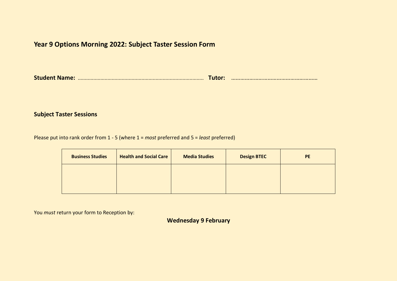# **Year 9 Options Morning 2022: Subject Taster Session Form**

**Student Name:** ......................................................................................... **Tutor:** …………………………………………………

#### **Subject Taster Sessions**

Please put into rank order from 1 - 5 (where 1 = *most* preferred and 5 = *least* preferred)

| <b>Business Studies</b> | <b>Health and Social Care</b> | <b>Media Studies</b> | <b>Design BTEC</b> | <b>PE</b> |
|-------------------------|-------------------------------|----------------------|--------------------|-----------|
|                         |                               |                      |                    |           |
|                         |                               |                      |                    |           |

You *must* return your form to Reception by:

**Wednesday 9 February**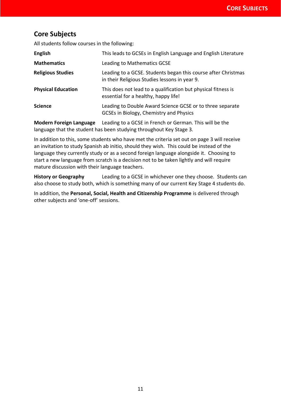# **Core Subjects**

All students follow courses in the following:

| <b>English</b>            | This leads to GCSEs in English Language and English Literature                                                 |
|---------------------------|----------------------------------------------------------------------------------------------------------------|
| <b>Mathematics</b>        | Leading to Mathematics GCSE                                                                                    |
| <b>Religious Studies</b>  | Leading to a GCSE. Students began this course after Christmas<br>in their Religious Studies lessons in year 9. |
| <b>Physical Education</b> | This does not lead to a qualification but physical fitness is<br>essential for a healthy, happy life!          |
| <b>Science</b>            | Leading to Double Award Science GCSE or to three separate<br>GCSEs in Biology, Chemistry and Physics           |

**Modern Foreign Language** Leading to a GCSE in French or German. This will be the language that the student has been studying throughout Key Stage 3.

In addition to this, some students who have met the criteria set out on page 3 will receive an invitation to study Spanish ab initio, should they wish. This could be instead of the language they currently study or as a second foreign language alongside it. Choosing to start a new language from scratch is a decision not to be taken lightly and will require mature discussion with their language teachers.

**History or Geography** Leading to a GCSE in whichever one they choose. Students can also choose to study both, which is something many of our current Key Stage 4 students do.

In addition, the **Personal, Social, Health and Citizenship Programme** is delivered through other subjects and 'one-off' sessions.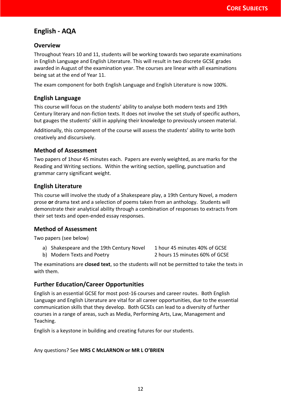# <span id="page-12-0"></span>**English - AQA**

#### **Overview**

Throughout Years 10 and 11, students will be working towards two separate examinations in English Language and English Literature. This will result in two discrete GCSE grades awarded in August of the examination year. The courses are linear with all examinations being sat at the end of Year 11.

The exam component for both English Language and English Literature is now 100%.

#### **English Language**

This course will focus on the students' ability to analyse both modern texts and 19th Century literary and non-fiction texts. It does not involve the set study of specific authors, but gauges the students' skill in applying their knowledge to previously unseen material.

Additionally, this component of the course will assess the students' ability to write both creatively and discursively.

#### **Method of Assessment**

Two papers of 1hour 45 minutes each. Papers are evenly weighted, as are marks for the Reading and Writing sections. Within the writing section, spelling, punctuation and grammar carry significant weight.

#### **English Literature**

This course will involve the study of a Shakespeare play, a 19th Century Novel, a modern prose **or** drama text and a selection of poems taken from an anthology. Students will demonstrate their analytical ability through a combination of responses to extracts from their set texts and open-ended essay responses.

#### **Method of Assessment**

Two papers (see below)

a) Shakespeare and the 19th Century Novel 1 hour 45 minutes 40% of GCSE

b) Modern Texts and Poetry 2 hours 15 minutes 60% of GCSE

The examinations are **closed text**, so the students will not be permitted to take the texts in with them.

#### **Further Education/Career Opportunities**

English is an essential GCSE for most post-16 courses and career routes. Both English Language and English Literature are vital for all career opportunities, due to the essential communication skills that they develop. Both GCSEs can lead to a diversity of further courses in a range of areas, such as Media, Performing Arts, Law, Management and Teaching.

English is a keystone in building and creating futures for our students.

#### Any questions? See **MRS C McLARNON or MR L O'BRIEN**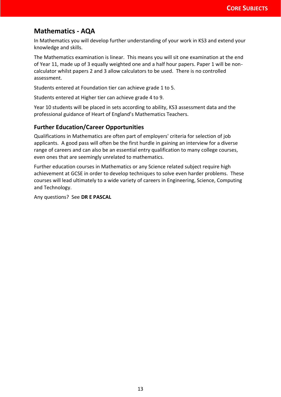# <span id="page-13-0"></span>**Mathematics - AQA**

In Mathematics you will develop further understanding of your work in KS3 and extend your knowledge and skills.

The Mathematics examination is linear. This means you will sit one examination at the end of Year 11, made up of 3 equally weighted one and a half hour papers. Paper 1 will be noncalculator whilst papers 2 and 3 allow calculators to be used. There is no controlled assessment.

Students entered at Foundation tier can achieve grade 1 to 5.

Students entered at Higher tier can achieve grade 4 to 9.

Year 10 students will be placed in sets according to ability, KS3 assessment data and the professional guidance of Heart of England's Mathematics Teachers.

#### **Further Education/Career Opportunities**

Qualifications in Mathematics are often part of employers' criteria for selection of job applicants. A good pass will often be the first hurdle in gaining an interview for a diverse range of careers and can also be an essential entry qualification to many college courses, even ones that are seemingly unrelated to mathematics.

Further education courses in Mathematics or any Science related subject require high achievement at GCSE in order to develop techniques to solve even harder problems. These courses will lead ultimately to a wide variety of careers in Engineering, Science, Computing and Technology.

Any questions? See **DR E PASCAL**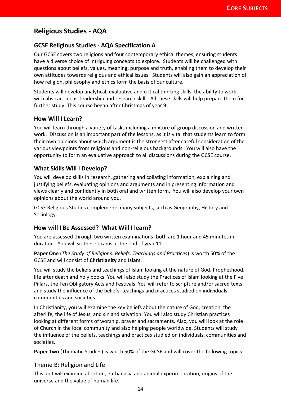# <span id="page-14-0"></span>**Religious Studies - AQA**

## **GCSE Religious Studies - AQA Specification A**

Our GCSE covers two religions and four contemporary ethical themes, ensuring students have a diverse choice of intriguing concepts to explore. Students will be challenged with questions about beliefs, values, meaning, purpose and truth, enabling them to develop their own attitudes towards religious and ethical issues. Students will also gain an appreciation of how religion, philosophy and ethics form the basis of our culture.

Students will develop analytical, evaluative and critical thinking skills, the ability to work with abstract ideas, leadership and research skills. All these skills will help prepare them for further study. This course began after Christmas of year 9.

#### **How Will I Learn?**

You will learn through a variety of tasks including a mixture of group discussion and written work. Discussion is an important part of the lessons, as it is vital that students learn to form their own opinions about which argument is the strongest after careful consideration of the various viewpoints from religious and non-religious backgrounds. You will also have the opportunity to form an evaluative approach to all discussions during the GCSE course.

#### **What Skills Will I Develop?**

You will develop skills in research, gathering and collating information, explaining and justifying beliefs, evaluating opinions and arguments and in presenting information and views clearly and confidently in both oral and written form. You will also develop your own opinions about the world around you.

GCSE Religious Studies complements many subjects, such as Geography, History and Sociology.

#### **How will I Be Assessed? What Will I learn?**

You are assessed through two written examinations; both are 1 hour and 45 minutes in duration. You will sit these exams at the end of year 11.

**Paper One** (*The Study of Religions: Beliefs, Teachings and Practices*) is worth 50% of the GCSE and will consist of **Christianity** and **Islam**.

You will study the beliefs and teachings of Islam looking at the nature of God, Prophethood, life after death and holy books. You will also study the Practices of Islam looking at the Five Pillars, the Ten Obligatory Acts and Festivals. You will refer to scripture and/or sacred texts and study the influence of the beliefs, teachings and practices studied on individuals, communities and societies.

In Christianity, you will examine the key beliefs about the nature of God, creation, the afterlife, the life of Jesus, and sin and salvation. You will also study Christian practices looking at different forms of worship, prayer and sacraments. Also, you will look at the role of Church in the local community and also helping people worldwide. Students will study the influence of the beliefs, teachings and practices studied on individuals, communities and societies.

**Paper Two** (Thematic Studies) is worth 50% of the GCSE and will cover the following topics:

#### Theme B: Religion and Life

This unit will examine abortion, euthanasia and animal experimentation, origins of the universe and the value of human life.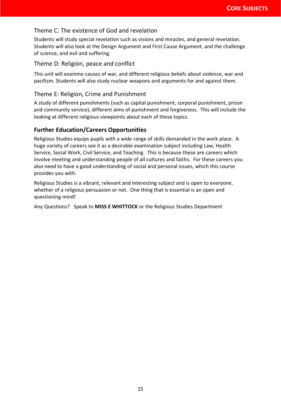## Theme C: The existence of God and revelation

Students will study special revelation such as visions and miracles, and general revelation. Students will also look at the Design Argument and First Cause Argument, and the challenge of science, and evil and suffering.

#### Theme D: Religion, peace and conflict

This unit will examine causes of war, and different religious beliefs about violence, war and pacifism. Students will also study nuclear weapons and arguments for and against them.

#### Theme E: Religion, Crime and Punishment

A study of different punishments (such as capital punishment, corporal punishment, prison and community service), different aims of punishment and forgiveness. This will include the looking at different religious viewpoints about each of these topics.

#### **Further Education/Careers Opportunities**

Religious Studies equips pupils with a wide range of skills demanded in the work place. A huge variety of careers see it as a desirable examination subject including Law, Health Service, Social Work, Civil Service, and Teaching. This is because these are careers which involve meeting and understanding people of all cultures and faiths. For these careers you also need to have a good understanding of social and personal issues, which this course provides you with.

Religious Studies is a vibrant, relevant and interesting subject and is open to everyone, whether of a religious persuasion or not. One thing that is essential is an open and questioning mind!

Any Questions? Speak to **MISS E WHITTOCK** or the Religious Studies Department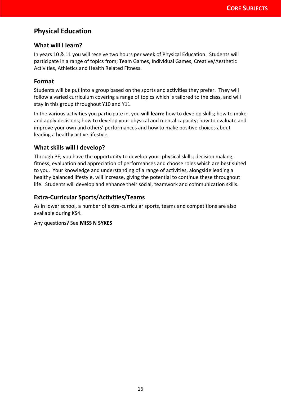# <span id="page-16-0"></span>**Physical Education**

#### **What will I learn?**

In years 10 & 11 you will receive two hours per week of Physical Education. Students will participate in a range of topics from; Team Games, Individual Games, Creative/Aesthetic Activities, Athletics and Health Related Fitness.

## **Format**

Students will be put into a group based on the sports and activities they prefer. They will follow a varied curriculum covering a range of topics which is tailored to the class, and will stay in this group throughout Y10 and Y11.

In the various activities you participate in, you **will learn:** how to develop skills; how to make and apply decisions; how to develop your physical and mental capacity; how to evaluate and improve your own and others' performances and how to make positive choices about leading a healthy active lifestyle.

## **What skills will I develop?**

Through PE, you have the opportunity to develop your: physical skills; decision making; fitness; evaluation and appreciation of performances and choose roles which are best suited to you. Your knowledge and understanding of a range of activities, alongside leading a healthy balanced lifestyle, will increase, giving the potential to continue these throughout life. Students will develop and enhance their social, teamwork and communication skills.

## **Extra-Curricular Sports/Activities/Teams**

As in lower school, a number of extra-curricular sports, teams and competitions are also available during KS4.

Any questions? See **MISS N SYKES**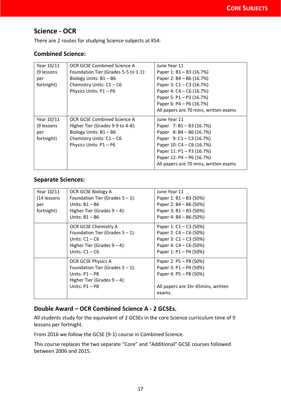# <span id="page-17-0"></span>**Science - OCR**

There are 2 routes for studying Science subjects at KS4:

#### **Combined Science:**

| Year 10/11 | OCR GCSE Combined Science A          | June Year 11                          |
|------------|--------------------------------------|---------------------------------------|
| (9 lessons | Foundation Tier (Grades 5-5 to 1-1): | Paper 1: B1 - B3 (16.7%)              |
| per        | Biology Units: B1-B6                 | Paper 2: B4 - B6 (16.7%)              |
| fortnight) | Chemistry Units: C1-C6               | Paper 3: C1 - C3 (16.7%)              |
|            | Physics Units: P1-P6                 | Paper 4: C4 - C6 (16.7%)              |
|            |                                      | Paper 5: P1 - P3 (16.7%)              |
|            |                                      | Paper 6: P4 - P6 (16.7%)              |
|            |                                      | All papers are 70 mins, written exams |
| Year 10/11 | OCR GCSE Combined Science A          | June Year 11                          |
| (9 lessons | Higher Tier (Grades 9-9 to 4-4):     | Paper 7: B1 - B3 (16.7%)              |
| per        | Biology Units: B1-B6                 | Paper 8: B4 - B6 (16.7%)              |
| fortnight) | Chemistry Units: $C1 - C6$           | Paper $9: C1 - C3 (16.7%)$            |
|            | Physics Units: P1-P6                 | Paper 10: C4 - C6 (16.7%)             |
|            |                                      | Paper 11: P1 - P3 (16.7%)             |
|            |                                      | Paper 12: P4 - P6 (16.7%)             |
|            |                                      | All papers are 70 mins, written exams |

#### **Separate Sciences:**

| Year 10/11<br>(14 lessons | OCR GCSE Biology A<br>Foundation Tier (Grades $5 - 1$ ): | June Year 11<br>Paper 1: B1 - B3 (50%) |
|---------------------------|----------------------------------------------------------|----------------------------------------|
| per                       | Units: $B1 - B6$                                         | Paper 2: B4 - B6 (50%)                 |
| fortnight)                | Higher Tier (Grades $9 - 4$ ):                           | Paper 3: B1 - B3 (50%)                 |
|                           | Units: $B1 - B6$                                         | Paper 4: B4 - B6 (50%)                 |
|                           | OCR GCSE Chemistry A                                     | Paper 1: C1 – C3 (50%)                 |
|                           | Foundation Tier (Grades $5 - 1$ ):                       | Paper 2: C4 - C6 (50%)                 |
|                           | Units: $C1 - C6$                                         | Paper 3: C1 - C3 (50%)                 |
|                           | Higher Tier (Grades $9 - 4$ ):                           | Paper 4: C4 – C6 (50%)                 |
|                           | Units: $C1 - C6$                                         | Paper 1: P1 - P4 (50%)                 |
|                           | OCR GCSE Physics A                                       | Paper 2: P5 – P8 (50%)                 |
|                           | Foundation Tier (Grades $5 - 1$ ):                       | Paper 3: P1 - P4 (50%)                 |
|                           | Units: $P1 - P8$                                         | Paper 4: P5 - P8 (50%)                 |
|                           | Higher Tier (Grades $9 - 4$ ):                           |                                        |
|                           | Units: $P1 - P8$                                         | All papers are 1hr 45mins, written     |
|                           |                                                          | exams.                                 |

## **Double Award – OCR Combined Science A - 2 GCSEs.**

All students study for the equivalent of 2 GCSEs in the core Science curriculum time of 9 lessons per fortnight.

From 2016 we follow the GCSE (9-1) course in Combined Science.

This course replaces the two separate "Core" and "Additional" GCSE courses followed between 2006 and 2015.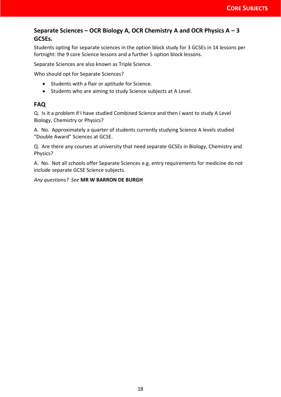## **Separate Sciences – OCR Biology A, OCR Chemistry A and OCR Physics A – 3 GCSEs.**

Students opting for separate sciences in the option block study for 3 GCSEs in 14 lessons per fortnight: the 9 core Science lessons and a further 5 option block lessons.

Separate Sciences are also known as Triple Science.

Who should opt for Separate Sciences?

- Students with a flair or aptitude for Science.
- Students who are aiming to study Science subjects at A Level.

#### **FAQ**

Q. Is it a problem if I have studied Combined Science and then I want to study A Level Biology, Chemistry or Physics?

A. No. Approximately a quarter of students currently studying Science A levels studied "Double Award" Sciences at GCSE.

Q. Are there any courses at university that need separate GCSEs in Biology, Chemistry and Physics?

A. No. Not all schools offer Separate Sciences e.g. entry requirements for medicine do not include separate GCSE Science subjects.

<span id="page-18-0"></span>*Any questions? See* **MR W BARRON DE BURGH**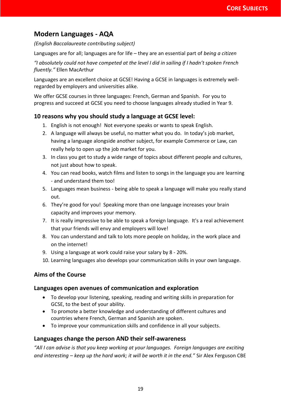# **Modern Languages - AQA**

*(English Baccalaureate contributing subject)*

Languages are for all; languages are for life – they are an essential part of *being a citizen*

*"I absolutely could not have competed at the level I did in sailing if I hadn't spoken French fluently."* Ellen MacArthur

Languages are an excellent choice at GCSE! Having a GCSE in languages is extremely wellregarded by employers and universities alike.

We offer GCSE courses in three languages: French, German and Spanish. For you to progress and succeed at GCSE you need to choose languages already studied in Year 9.

## **10 reasons why you should study a language at GCSE level:**

- 1. English is not enough! Not everyone speaks or wants to speak English.
- 2. A language will always be useful, no matter what you do. In today's job market, having a language alongside another subject, for example Commerce or Law, can really help to open up the job market for you.
- 3. In class you get to study a wide range of topics about different people and cultures, not just about how to speak.
- 4. You can read books, watch films and listen to songs in the language you are learning - and understand them too!
- 5. Languages mean business being able to speak a language will make you really stand out.
- 6. They're good for you! Speaking more than one language increases your brain capacity and improves your memory.
- 7. It is really impressive to be able to speak a foreign language. It's a real achievement that your friends will envy and employers will love!
- 8. You can understand and talk to lots more people on holiday, in the work place and on the internet!
- 9. Using a language at work could raise your salary by 8 20%.
- 10. Learning languages also develops your communication skills in your own language.

## **Aims of the Course**

#### **Languages open avenues of communication and exploration**

- To develop your listening, speaking, reading and writing skills in preparation for GCSE, to the best of your ability.
- To promote a better knowledge and understanding of different cultures and countries where French, German and Spanish are spoken.
- To improve your communication skills and confidence in all your subjects.

#### **Languages change the person AND their self-awareness**

*"All I can advise is that you keep working at your languages. Foreign languages are exciting and interesting – keep up the hard work; it will be worth it in the end."* Sir Alex Ferguson CBE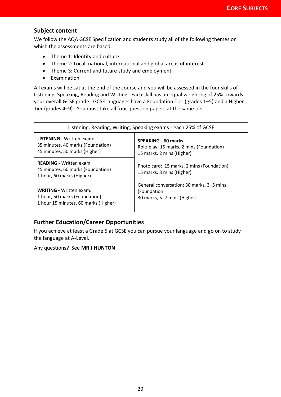## **Subject content**

We follow the AQA GCSE Specification and students study all of the following themes on which the assessments are based.

- Theme 1: Identity and culture
- Theme 2: Local, national, international and global areas of interest
- Theme 3: Current and future study and employment
- Examination

All exams will be sat at the end of the course and you will be assessed in the four skills of Listening, Speaking, Reading and Writing. Each skill has an equal weighting of 25% towards your overall GCSE grade. GCSE languages have a Foundation Tier (grades 1–5) and a Higher Tier (grades 4–9). You must take all four question papers at the same tier.

| Listening, Reading, Writing, Speaking exams - each 25% of GCSE                                   |                                                                        |  |  |
|--------------------------------------------------------------------------------------------------|------------------------------------------------------------------------|--|--|
| <b>LISTENING - Written exam:</b>                                                                 | <b>SPEAKING - 60 marks</b>                                             |  |  |
| 35 minutes, 40 marks (Foundation)                                                                | Role-play: 15 marks, 2 mins (Foundation)                               |  |  |
| 45 minutes, 50 marks (Higher)                                                                    | 15 marks, 2 mins (Higher)                                              |  |  |
| <b>READING - Written exam:</b><br>45 minutes, 60 marks (Foundation)<br>1 hour, 60 marks (Higher) | Photo card: 15 marks, 2 mins (Foundation)<br>15 marks, 3 mins (Higher) |  |  |
| <b>WRITING - Written exam:</b>                                                                   | General conversation: 30 marks, 3–5 mins                               |  |  |
| 1 hour, 50 marks (Foundation)                                                                    | (Foundation                                                            |  |  |
| 1 hour 15 minutes, 60 marks (Higher)                                                             | 30 marks, 5–7 mins (Higher)                                            |  |  |

## **Further Education/Career Opportunities**

If you achieve at least a Grade 5 at GCSE you can pursue your language and go on to study the language at A-Level.

Any questions? See **MR J HUNTON**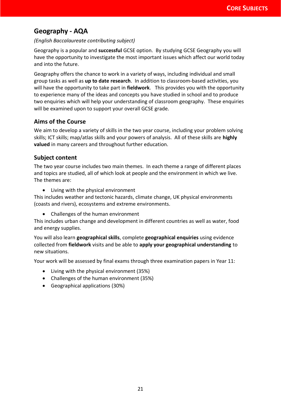# <span id="page-21-0"></span>**Geography - AQA**

#### *(English Baccalaureate contributing subject)*

Geography is a popular and **successful** GCSE option. By studying GCSE Geography you will have the opportunity to investigate the most important issues which affect our world today and into the future.

Geography offers the chance to work in a variety of ways, including individual and small group tasks as well as **up to date research**. In addition to classroom-based activities, you will have the opportunity to take part in **fieldwork**. This provides you with the opportunity to experience many of the ideas and concepts you have studied in school and to produce two enquiries which will help your understanding of classroom geography. These enquiries will be examined upon to support your overall GCSE grade.

## **Aims of the Course**

We aim to develop a variety of skills in the two year course, including your problem solving skills; ICT skills; map/atlas skills and your powers of analysis. All of these skills are **highly valued** in many careers and throughout further education.

## **Subject content**

The two year course includes two main themes. In each theme a range of different places and topics are studied, all of which look at people and the environment in which we live. The themes are:

• Living with the physical environment

This includes weather and tectonic hazards, climate change, UK physical environments (coasts and rivers), ecosystems and extreme environments.

• Challenges of the human environment

This includes urban change and development in different countries as well as water, food and energy supplies.

You will also learn **geographical skills**, complete **geographical enquiries** using evidence collected from **fieldwork** visits and be able to **apply your geographical understanding** to new situations.

Your work will be assessed by final exams through three examination papers in Year 11:

- Living with the physical environment (35%)
- Challenges of the human environment (35%)
- Geographical applications (30%)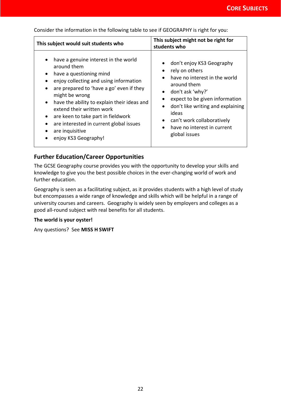| This subject would suit students who                                                                                                                                                                                                                                                                                                                                                                                                                                                                                | This subject might not be right for<br>students who                                                                                                                                                                                                                                                                       |  |
|---------------------------------------------------------------------------------------------------------------------------------------------------------------------------------------------------------------------------------------------------------------------------------------------------------------------------------------------------------------------------------------------------------------------------------------------------------------------------------------------------------------------|---------------------------------------------------------------------------------------------------------------------------------------------------------------------------------------------------------------------------------------------------------------------------------------------------------------------------|--|
| have a genuine interest in the world<br>$\bullet$<br>around them<br>have a questioning mind<br>$\bullet$<br>enjoy collecting and using information<br>$\bullet$<br>are prepared to 'have a go' even if they<br>$\bullet$<br>might be wrong<br>have the ability to explain their ideas and<br>$\bullet$<br>extend their written work<br>are keen to take part in fieldwork<br>$\bullet$<br>are interested in current global issues<br>$\bullet$<br>are inquisitive<br>$\bullet$<br>enjoy KS3 Geography!<br>$\bullet$ | don't enjoy KS3 Geography<br>rely on others<br>٠<br>have no interest in the world<br>around them<br>don't ask 'why?'<br>$\bullet$<br>expect to be given information<br>don't like writing and explaining<br>ideas<br>can't work collaboratively<br>$\bullet$<br>have no interest in current<br>$\bullet$<br>global issues |  |

Consider the information in the following table to see if GEOGRAPHY is right for you:

#### **Further Education/Career Opportunities**

The GCSE Geography course provides you with the opportunity to develop your skills and knowledge to give you the best possible choices in the ever-changing world of work and further education.

Geography is seen as a facilitating subject, as it provides students with a high level of study but encompasses a wide range of knowledge and skills which will be helpful in a range of university courses and careers. Geography is widely seen by employers and colleges as a good all-round subject with real benefits for all students.

#### **The world is your oyster!**

Any questions? See **MISS H SWIFT**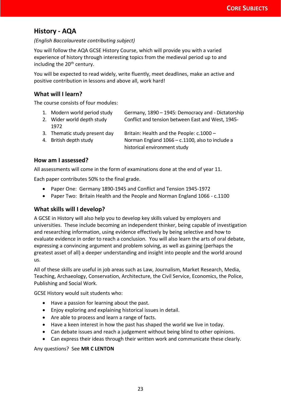# <span id="page-23-0"></span>**History - AQA**

#### *(English Baccalaureate contributing subject)*

You will follow the AQA GCSE History Course, which will provide you with a varied experience of history through interesting topics from the medieval period up to and including the  $20<sup>th</sup>$  century.

You will be expected to read widely, write fluently, meet deadlines, make an active and positive contribution in lessons and above all, work hard!

## **What will I learn?**

The course consists of four modules:

| 1. Modern world period study  | Germany, 1890 - 1945: Democracy and - Dictatorship |
|-------------------------------|----------------------------------------------------|
| 2. Wider world depth study    | Conflict and tension between East and West, 1945-  |
| 1972                          |                                                    |
| 3. Thematic study present day | Britain: Health and the People: c.1000 -           |
| 4. British depth study        | Norman England 1066 - c.1100, also to include a    |
|                               | historical environment study                       |

#### **How am I assessed?**

All assessments will come in the form of examinations done at the end of year 11.

Each paper contributes 50% to the final grade.

- Paper One: Germany 1890-1945 and Conflict and Tension 1945-1972
- Paper Two: Britain Health and the People and Norman England 1066 c.1100

#### **What skills will I develop?**

A GCSE in History will also help you to develop key skills valued by employers and universities. These include becoming an independent thinker, being capable of investigation and researching information, using evidence effectively by being selective and how to evaluate evidence in order to reach a conclusion. You will also learn the arts of oral debate, expressing a convincing argument and problem solving, as well as gaining (perhaps the greatest asset of all) a deeper understanding and insight into people and the world around us.

All of these skills are useful in job areas such as Law, Journalism, Market Research, Media, Teaching, Archaeology, Conservation, Architecture, the Civil Service, Economics, the Police, Publishing and Social Work.

GCSE History would suit students who:

- Have a passion for learning about the past.
- Enjoy exploring and explaining historical issues in detail.
- Are able to process and learn a range of facts.
- Have a keen interest in how the past has shaped the world we live in today.
- Can debate issues and reach a judgement without being blind to other opinions.
- <span id="page-23-1"></span>• Can express their ideas through their written work and communicate these clearly.

#### Any questions? See **MR C LENTON**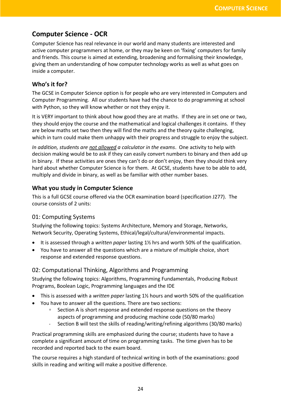# <span id="page-24-0"></span>**Computer Science - OCR**

Computer Science has real relevance in our world and many students are interested and active computer programmers at home, or they may be keen on 'fixing' computers for family and friends. This course is aimed at extending, broadening and formalising their knowledge, giving them an understanding of how computer technology works as well as what goes on inside a computer.

## **Who's it for?**

The GCSE in Computer Science option is for people who are very interested in Computers and Computer Programming. All our students have had the chance to do programming at school with Python, so they will know whether or not they enjoy it.

It is VERY important to think about how good they are at maths. If they are in set one or two, they should enjoy the course and the mathematical and logical challenges it contains. If they are below maths set two then they will find the maths and the theory quite challenging, which in turn could make them unhappy with their progress and struggle to enjoy the subject.

*In addition, students are not allowed a calculator in the exams*. One activity to help with decision making would be to ask if they can easily convert numbers to binary and then add up in binary. If these activities are ones they can't do or don't enjoy, then they should think very hard about whether Computer Science is for them. At GCSE, students have to be able to add, multiply and divide in binary, as well as be familiar with other number bases.

# **What you study in Computer Science**

This is a full GCSE course offered via the OCR examination board (specification J277). The course consists of 2 units:

## 01: Computing Systems

Studying the following topics: Systems Architecture, Memory and Storage, Networks, Network Security, Operating Systems, Ethical/legal/cultural/environmental impacts.

- It is assessed through a *written paper* lasting 1½ hrs and worth 50% of the qualification.
- You have to answer all the questions which are a mixture of multiple choice, short response and extended response questions.

## 02: Computational Thinking, Algorithms and Programming

Studying the following topics: Algorithms, Programming Fundamentals, Producing Robust Programs, Boolean Logic, Programming languages and the IDE

- This is assessed with a *written paper* lasting 1½ hours and worth 50% of the qualification
- You have to answer all the questions. There are two sections:
	- □ Section A is short response and extended response questions on the theory aspects of programming and producing machine code (50/80 marks)
	- Section B will test the skills of reading/writing/refining algorithms (30/80 marks)

Practical programming skills are emphasized during the course; students have to have a complete a significant amount of time on programming tasks. The time given has to be recorded and reported back to the exam board.

The course requires a high standard of technical writing in both of the examinations: good skills in reading and writing will make a positive difference.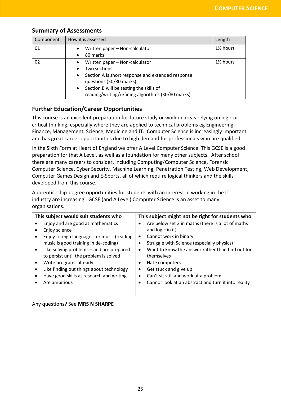## **Summary of Assessments**

| Component | How it is assessed                                                                                        | Length                |
|-----------|-----------------------------------------------------------------------------------------------------------|-----------------------|
| 01        | Written paper - Non-calculator<br>$\bullet$<br>80 marks<br>$\bullet$                                      | 1 <sup>/2</sup> hours |
|           |                                                                                                           |                       |
| 02        | Written paper - Non-calculator<br>$\bullet$                                                               | 1 <sup>/2</sup> hours |
|           | Two sections:                                                                                             |                       |
|           | Section A is short response and extended response<br>$\bullet$<br>questions (50/80 marks)                 |                       |
|           | Section B will be testing the skills of<br>$\bullet$<br>reading/writing/refining algorithms (30/80 marks) |                       |

## **Further Education/Career Opportunities**

This course is an excellent preparation for future study or work in areas relying on logic or critical thinking, especially where they are applied to technical problems eg Engineering, Finance, Management, Science, Medicine and IT. Computer Science is increasingly important and has great career opportunities due to high demand for professionals who are qualified.

In the Sixth Form at Heart of England we offer A Level Computer Science. This GCSE is a good preparation for that A Level, as well as a foundation for many other subjects. After school there are many careers to consider, including Computing/Computer Science, Forensic Computer Science, Cyber Security, Machine Learning, Penetration Testing, Web Development, Computer Games Design and E-Sports, all of which require logical thinkers and the skills developed from this course.

Apprenticeship-degree opportunities for students with an interest in working in the IT industry are increasing. GCSE (and A Level) Computer Science is an asset to many organisations.

| This subject would suit students who |                                            | This subject might not be right for students who |                                                     |  |
|--------------------------------------|--------------------------------------------|--------------------------------------------------|-----------------------------------------------------|--|
|                                      | Enjoy and are good at mathematics          | $\bullet$                                        | Are below set 2 in maths (there is a lot of maths   |  |
|                                      | Enjoy science                              |                                                  | and logic in it)                                    |  |
|                                      | Enjoy foreign languages, or music (reading | $\bullet$                                        | Cannot work in binary                               |  |
|                                      | music is good training in de-coding)       |                                                  | Struggle with Science (especially physics)          |  |
|                                      | Like solving problems - and are prepared   | $\bullet$                                        | Want to know the answer rather than find out for    |  |
|                                      | to persist until the problem is solved     |                                                  | themselves                                          |  |
|                                      | Write programs already                     |                                                  | Hate computers                                      |  |
|                                      | Like finding out things about technology   | $\bullet$                                        | Get stuck and give up                               |  |
|                                      | Have good skills at research and writing   | ٠                                                | Can't sit still and work at a problem               |  |
|                                      | Are ambitious                              |                                                  | Cannot look at an abstract and turn it into reality |  |
|                                      |                                            |                                                  |                                                     |  |

Any questions? See **MRS N SHARPE**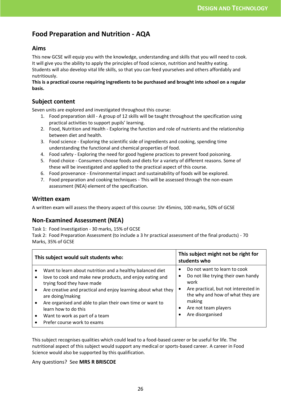# **Food Preparation and Nutrition - AQA**

#### **Aims**

This new GCSE will equip you with the knowledge, understanding and skills that you will need to cook. It will give you the ability to apply the principles of food science, nutrition and healthy eating. Students will also develop vital life skills, so that you can feed yourselves and others affordably and nutritiously.

#### **This is a practical course requiring ingredients to be purchased and brought into school on a regular basis.**

#### **Subject content**

Seven units are explored and investigated throughout this course:

- 1. Food preparation skill A group of 12 skills will be taught throughout the specification using practical activities to support pupils' learning.
- 2. Food, Nutrition and Health Exploring the function and role of nutrients and the relationship between diet and health.
- 3. Food science Exploring the scientific side of ingredients and cooking, spending time understanding the functional and chemical properties of food.
- 4. Food safety Exploring the need for good hygiene practices to prevent food poisoning.
- 5. Food choice Consumers choose foods and diets for a variety of different reasons. Some of these will be investigated and applied to the practical aspect of this course.
- 6. Food provenance Environmental impact and sustainability of foods will be explored.
- 7. Food preparation and cooking techniques This will be assessed through the non-exam assessment (NEA) element of the specification.

#### **Written exam**

A written exam will assess the theory aspect of this course: 1hr 45mins, 100 marks, 50% of GCSE

#### **Non-Examined Assessment (NEA)**

Task 1: Food Investigation - 30 marks, 15% of GCSE

Task 2: Food Preparation Assessment (to include a 3 hr practical assessment of the final products) - 70 Marks, 35% of GCSE

| This subject would suit students who: |                                                                                                                                                                                                                                                                                                                                                                | This subject might not be right for<br>students who                                                                                                                                                          |  |
|---------------------------------------|----------------------------------------------------------------------------------------------------------------------------------------------------------------------------------------------------------------------------------------------------------------------------------------------------------------------------------------------------------------|--------------------------------------------------------------------------------------------------------------------------------------------------------------------------------------------------------------|--|
|                                       | Want to learn about nutrition and a healthy balanced diet<br>love to cook and make new products, and enjoy eating and<br>trying food they have made<br>Are creative and practical and enjoy learning about what they<br>are doing/making<br>Are organised and able to plan their own time or want to<br>learn how to do this<br>Want to work as part of a team | Do not want to learn to cook<br>Do not like trying their own handy<br>work<br>Are practical, but not interested in<br>the why and how of what they are<br>making<br>Are not team players<br>Are disorganised |  |
|                                       | Prefer course work to exams                                                                                                                                                                                                                                                                                                                                    |                                                                                                                                                                                                              |  |

This subject recognises qualities which could lead to a food-based career or be useful for life. The nutritional aspect of this subject would support any medical or sports-based career. A career in Food Science would also be supported by this qualification.

#### Any questions? See **MRS R BRISCOE**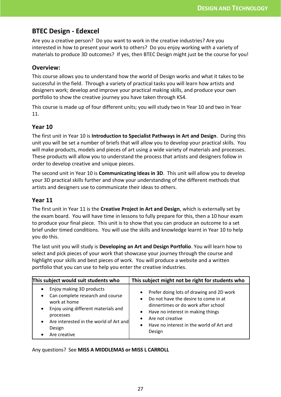# <span id="page-27-0"></span>**BTEC Design - Edexcel**

Are you a creative person? Do you want to work in the creative industries? Are you interested in how to present your work to others? Do you enjoy working with a variety of materials to produce 3D outcomes? If yes, then BTEC Design might just be the course for you!

#### **Overview:**

This course allows you to understand how the world of Design works and what it takes to be successful in the field. Through a variety of practical tasks you will learn how artists and designers work; develop and improve your practical making skills, and produce your own portfolio to show the creative journey you have taken through KS4.

This course is made up of four different units; you will study two in Year 10 and two in Year 11.

## **Year 10**

The first unit in Year 10 is **Introduction to Specialist Pathways in Art and Design**. During this unit you will be set a number of briefs that will allow you to develop your practical skills. You will make products, models and pieces of art using a wide variety of materials and processes. These products will allow you to understand the process that artists and designers follow in order to develop creative and unique pieces.

The second unit in Year 10 is **Communicating Ideas in 3D**. This unit will allow you to develop your 3D practical skills further and show your understanding of the different methods that artists and designers use to communicate their ideas to others.

#### **Year 11**

The first unit in Year 11 is the **Creative Project in Art and Design**, which is externally set by the exam board. You will have time in lessons to fully prepare for this, then a 10 hour exam to produce your final piece. This unit is to show that you can produce an outcome to a set brief under timed conditions. You will use the skills and knowledge learnt in Year 10 to help you do this.

The last unit you will study is **Developing an Art and Design Portfolio**. You will learn how to select and pick pieces of your work that showcase your journey through the course and highlight your skills and best pieces of work. You will produce a website and a written portfolio that you can use to help you enter the creative industries.

| This subject would suit students who   | This subject might not be right for students who |  |
|----------------------------------------|--------------------------------------------------|--|
| Enjoy making 3D products               | Prefer doing lots of drawing and 2D work         |  |
| $\bullet$                              | $\bullet$                                        |  |
| Can complete research and course       | Do not have the desire to come in at             |  |
| $\bullet$                              | $\bullet$                                        |  |
| work at home                           | dinnertimes or do work after school              |  |
| Enjoy using different materials and    | Have no interest in making things                |  |
| $\bullet$                              | $\bullet$                                        |  |
| processes                              | Are not creative                                 |  |
| Are interested in the world of Art and | $\bullet$                                        |  |
| $\bullet$                              | Have no interest in the world of Art and         |  |
| Design                                 | $\bullet$                                        |  |
| Are creative                           | Design                                           |  |

Any questions? See **MISS A MIDDLEMAS or MISS L CARROLL**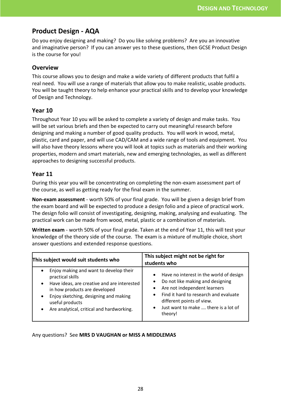# <span id="page-28-0"></span>**Product Design - AQA**

Do you enjoy designing and making? Do you like solving problems? Are you an innovative and imaginative person? If you can answer yes to these questions, then GCSE Product Design is the course for you!

#### **Overview**

This course allows you to design and make a wide variety of different products that fulfil a real need. You will use a range of materials that allow you to make realistic, usable products. You will be taught theory to help enhance your practical skills and to develop your knowledge of Design and Technology.

#### **Year 10**

Throughout Year 10 you will be asked to complete a variety of design and make tasks. You will be set various briefs and then be expected to carry out meaningful research before designing and making a number of good quality products. You will work in wood, metal, plastic, card and paper, and will use CAD/CAM and a wide range of tools and equipment. You will also have theory lessons where you will look at topics such as materials and their working properties, modern and smart materials, new and emerging technologies, as well as different approaches to designing successful products.

## **Year 11**

During this year you will be concentrating on completing the non-exam assessment part of the course, as well as getting ready for the final exam in the summer.

**Non-exam assessment** - worth 50% of your final grade. You will be given a design brief from the exam board and will be expected to produce a design folio and a piece of practical work. The design folio will consist of investigating, designing, making, analysing and evaluating. The practical work can be made from wood, metal, plastic or a combination of materials.

**Written exam** - worth 50% of your final grade. Taken at the end of Year 11, this will test your knowledge of the theory side of the course. The exam is a mixture of multiple choice, short answer questions and extended response questions.

| This subject would suit students who                                                                                                                                                                                                                                                            | This subject might not be right for<br>students who                                                                                                                                                                                               |  |
|-------------------------------------------------------------------------------------------------------------------------------------------------------------------------------------------------------------------------------------------------------------------------------------------------|---------------------------------------------------------------------------------------------------------------------------------------------------------------------------------------------------------------------------------------------------|--|
| Enjoy making and want to develop their<br>$\bullet$<br>practical skills<br>Have ideas, are creative and are interested<br>$\bullet$<br>in how products are developed<br>Enjoy sketching, designing and making<br>٠<br>useful products<br>Are analytical, critical and hardworking.<br>$\bullet$ | Have no interest in the world of design<br>$\bullet$<br>Do not like making and designing<br>Are not independent learners<br>Find it hard to research and evaluate<br>different points of view.<br>Just want to make  there is a lot of<br>theory! |  |

Any questions? See **MRS D VAUGHAN or MISS A MIDDLEMAS**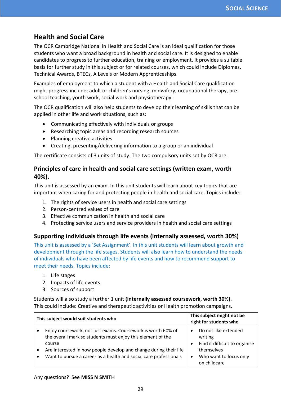# <span id="page-29-0"></span>**Health and Social Care**

The OCR Cambridge National in Health and Social Care is an ideal qualification for those students who want a broad background in health and social care. It is designed to enable candidates to progress to further education, training or employment. It provides a suitable basis for further study in this subject or for related courses, which could include Diplomas, Technical Awards, BTECs, A Levels or Modern Apprenticeships.

Examples of employment to which a student with a Health and Social Care qualification might progress include; adult or children's nursing, midwifery, occupational therapy, preschool teaching, youth work, social work and physiotherapy.

The OCR qualification will also help students to develop their learning of skills that can be applied in other life and work situations, such as:

- Communicating effectively with individuals or groups
- Researching topic areas and recording research sources
- Planning creative activities
- Creating, presenting/delivering information to a group or an individual

The certificate consists of 3 units of study. The two compulsory units set by OCR are:

## **Principles of care in health and social care settings (written exam, worth 40%).**

This unit is assessed by an exam. In this unit students will learn about key topics that are important when caring for and protecting people in health and social care. Topics include:

- 1. The rights of service users in health and social care settings
- 2. Person-centred values of care
- 3. Effective communication in health and social care
- 4. Protecting service users and service providers in health and social care settings

#### **Supporting individuals through life events (internally assessed, worth 30%)**

This unit is assessed by a 'Set Assignment'. In this unit students will learn about growth and development through the life stages. Students will also learn how to understand the needs of individuals who have been affected by life events and how to recommend support to meet their needs. Topics include:

- 1. Life stages
- 2. Impacts of life events
- 3. Sources of support

Students will also study a further 1 unit **(internally assessed coursework, worth 30%)**. This could include: Creative and therapeutic activities or Health promotion campaigns.

| This subject would suit students who                                                                                                                                                                                                                                                         | This subject might not be<br>right for students who                                                                      |  |
|----------------------------------------------------------------------------------------------------------------------------------------------------------------------------------------------------------------------------------------------------------------------------------------------|--------------------------------------------------------------------------------------------------------------------------|--|
| Enjoy coursework, not just exams. Coursework is worth 60% of<br>the overall mark so students must enjoy this element of the<br>course<br>Are interested in how people develop and change during their life<br>$\bullet$<br>Want to pursue a career as a health and social care professionals | Do not like extended<br>writing<br>Find it difficult to organise<br>themselves<br>Who want to focus only<br>on childcare |  |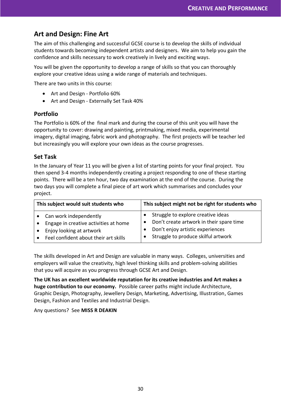# <span id="page-30-0"></span>**Art and Design: Fine Art**

The aim of this challenging and successful GCSE course is to develop the skills of individual students towards becoming independent artists and designers. We aim to help you gain the confidence and skills necessary to work creatively in lively and exciting ways.

You will be given the opportunity to develop a range of skills so that you can thoroughly explore your creative ideas using a wide range of materials and techniques.

There are two units in this course:

- Art and Design Portfolio 60%
- Art and Design Externally Set Task 40%

#### **Portfolio**

The Portfolio is 60% of the final mark and during the course of this unit you will have the opportunity to cover: drawing and painting, printmaking, mixed media, experimental imagery, digital imaging, fabric work and photography. The first projects will be teacher led but increasingly you will explore your own ideas as the course progresses.

#### **Set Task**

In the January of Year 11 you will be given a list of starting points for your final project. You then spend 3-4 months independently creating a project responding to one of these starting points. There will be a ten hour, two day examination at the end of the course. During the two days you will complete a final piece of art work which summarises and concludes your project.

| This subject would suit students who  | This subject might not be right for students who |  |
|---------------------------------------|--------------------------------------------------|--|
| Can work independently                | Struggle to explore creative ideas               |  |
| Engage in creative activities at home | Don't create artwork in their spare time         |  |
| Enjoy looking at artwork              | Don't enjoy artistic experiences                 |  |
| Feel confident about their art skills | Struggle to produce skilful artwork              |  |

The skills developed in Art and Design are valuable in many ways. Colleges, universities and employers will value the creativity, high level thinking skills and problem-solving abilities that you will acquire as you progress through GCSE Art and Design.

**The UK has an excellent worldwide reputation for its creative industries and Art makes a huge contribution to our economy.** Possible career paths might include Architecture, Graphic Design, Photography, Jewellery Design, Marketing, Advertising, Illustration, Games Design, Fashion and Textiles and Industrial Design.

Any questions? See **MISS R DEAKIN**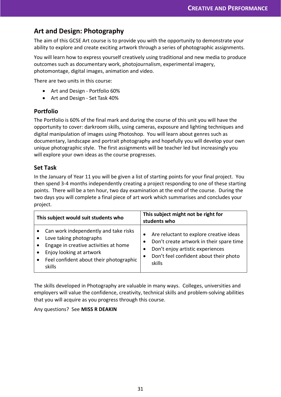# <span id="page-31-0"></span>**Art and Design: Photography**

The aim of this GCSE Art course is to provide you with the opportunity to demonstrate your ability to explore and create exciting artwork through a series of photographic assignments.

You will learn how to express yourself creatively using traditional and new media to produce outcomes such as documentary work, photojournalism, experimental imagery, photomontage, digital images, animation and video.

There are two units in this course:

- Art and Design Portfolio 60%
- Art and Design Set Task 40%

#### **Portfolio**

The Portfolio is 60% of the final mark and during the course of this unit you will have the opportunity to cover: darkroom skills, using cameras, exposure and lighting techniques and digital manipulation of images using Photoshop. You will learn about genres such as documentary, landscape and portrait photography and hopefully you will develop your own unique photographic style. The first assignments will be teacher led but increasingly you will explore your own ideas as the course progresses.

#### **Set Task**

In the January of Year 11 you will be given a list of starting points for your final project. You then spend 3-4 months independently creating a project responding to one of these starting points. There will be a ten hour, two day examination at the end of the course. During the two days you will complete a final piece of art work which summarises and concludes your project.

| This subject would suit students who                                                                                                                                                                                 | This subject might not be right for<br>students who                                                                                                                                                   |  |
|----------------------------------------------------------------------------------------------------------------------------------------------------------------------------------------------------------------------|-------------------------------------------------------------------------------------------------------------------------------------------------------------------------------------------------------|--|
| Can work independently and take risks<br>$\bullet$<br>Love taking photographs<br>Engage in creative activities at home<br>Enjoy looking at artwork<br>Feel confident about their photographic<br>$\bullet$<br>skills | Are reluctant to explore creative ideas<br>$\bullet$<br>Don't create artwork in their spare time<br>Don't enjoy artistic experiences<br>Don't feel confident about their photo<br>$\bullet$<br>skills |  |

The skills developed in Photography are valuable in many ways. Colleges, universities and employers will value the confidence, creativity, technical skills and problem-solving abilities that you will acquire as you progress through this course.

#### Any questions? See **MISS R DEAKIN**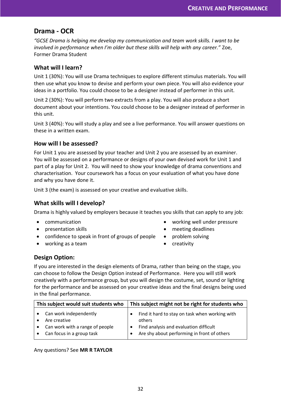## <span id="page-32-0"></span>**Drama - OCR**

*"GCSE Drama is helping me develop my communication and team work skills. I want to be involved in performance when I'm older but these skills will help with any career."* Zoe, Former Drama Student

#### **What will I learn?**

Unit 1 (30%): You will use Drama techniques to explore different stimulus materials. You will then use what you know to devise and perform your own piece. You will also evidence your ideas in a portfolio. You could choose to be a designer instead of performer in this unit.

Unit 2 (30%): You will perform two extracts from a play. You will also produce a short document about your intentions. You could choose to be a designer instead of performer in this unit.

Unit 3 (40%): You will study a play and see a live performance. You will answer questions on these in a written exam.

#### **How will I be assessed?**

For Unit 1 you are assessed by your teacher and Unit 2 you are assessed by an examiner. You will be assessed on a performance or designs of your own devised work for Unit 1 and part of a play for Unit 2. You will need to show your knowledge of drama conventions and characterisation. Your coursework has a focus on your evaluation of what you have done and why you have done it.

Unit 3 (the exam) is assessed on your creative and evaluative skills.

#### **What skills will I develop?**

Drama is highly valued by employers because it teaches you skills that can apply to any job:

- communication
- presentation skills
- confidence to speak in front of groups of people
- working as a team
- working well under pressure
- meeting deadlines
- problem solving
- creativity

#### **Design Option:**

If you are interested in the design elements of Drama, rather than being on the stage, you can choose to follow the Design Option instead of Performance. Here you will still work creatively with a performance group, but you will design the costume, set, sound or lighting for the performance and be assessed on your creative ideas and the final designs being used in the final performance.

| This subject would suit students who |                                                              | This subject might not be right for students who                                      |  |  |
|--------------------------------------|--------------------------------------------------------------|---------------------------------------------------------------------------------------|--|--|
|                                      | Can work independently<br>Are creative                       | Find it hard to stay on task when working with<br>others                              |  |  |
|                                      | Can work with a range of people<br>Can focus in a group task | Find analysis and evaluation difficult<br>Are shy about performing in front of others |  |  |
|                                      |                                                              |                                                                                       |  |  |

#### Any questions? See **MR R TAYLOR**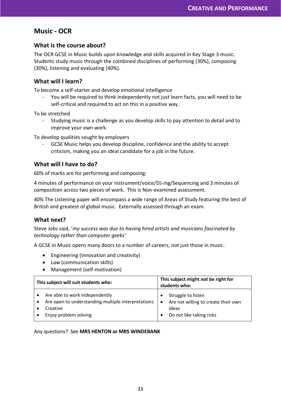# <span id="page-33-0"></span>**Music - OCR**

#### **What is the course about?**

The OCR GCSE in Music builds upon knowledge and skills acquired in Key Stage 3 music. Students study music through the combined disciplines of performing (30%), composing (30%), listening and evaluating (40%).

#### **What will I learn?**

To become a self-starter and develop emotional intelligence

- You will be required to think independently not just learn facts, you will need to be self-critical and required to act on this in a positive way.

To be stretched

Studying music is a challenge as you develop skills to pay attention to detail and to improve your own work.

To develop qualities sought by employers

GCSE Music helps you develop discipline, confidence and the ability to accept criticism, making you an ideal candidate for a job in the future.

#### **What will I have to do?**

60% of marks are for performing and composing:

4 minutes of performance on your instrument/voice/DJ-ing/Sequencing and 3 minutes of composition across two pieces of work. This is Non-examined assessment.

40% The Listening paper will encompass a wide range of Areas of Study featuring the best of British and greatest of global music. Externally assessed through an exam.

#### **What next?**

Steve Jobs said, '*my success was due to having hired artists and musicians fascinated by technology rather than computer geeks'*

A GCSE in Music opens many doors to a number of careers, not just those in music.

- Engineering (innovation and creativity)
- Law (communication skills)
- Management (self-motivation)

| This subject will suit students who:                                                                                      | This subject might not be right for<br>students who:                                                        |  |
|---------------------------------------------------------------------------------------------------------------------------|-------------------------------------------------------------------------------------------------------------|--|
| Are able to work independently<br>Are open to understanding multiple interpretations<br>Creative<br>Enjoy problem solving | Struggle to listen<br>Are not willing to create their own<br>$\bullet$<br>ideas<br>Do not like taking risks |  |

#### Any questions? See **MRS HENTON or MRS WINDEBANK**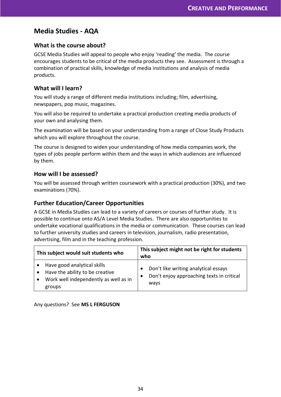# <span id="page-34-0"></span>**Media Studies - AQA**

#### **What is the course about?**

GCSE Media Studies will appeal to people who enjoy 'reading' the media. The course encourages students to be critical of the media products they see. Assessment is through a combination of practical skills, knowledge of media institutions and analysis of media products.

#### **What will I learn?**

You will study a range of different media institutions including; film, advertising, newspapers, pop music, magazines.

You will also be required to undertake a practical production creating media products of your own and analysing them.

The examination will be based on your understanding from a range of Close Study Products which you will explore throughout the course.

The course is designed to widen your understanding of how media companies work, the types of jobs people perform within them and the ways in which audiences are influenced by them.

#### **How will I be assessed?**

You will be assessed through written coursework with a practical production (30%), and two examinations (70%).

#### **Further Education/Career Opportunities**

A GCSE in Media Studies can lead to a variety of careers or courses of further study. It is possible to continue onto AS/A Level Media Studies. There are also opportunities to undertake vocational qualifications in the media or communication. These courses can lead to further university studies and careers in television, journalism, radio presentation, advertising, film and in the teaching profession.

| This subject would suit students who |                                                                                                                   | This subject might not be right for students<br>who |                                                                                           |
|--------------------------------------|-------------------------------------------------------------------------------------------------------------------|-----------------------------------------------------|-------------------------------------------------------------------------------------------|
|                                      | Have good analytical skills<br>Have the ability to be creative<br>Work well independently as well as in<br>groups |                                                     | Don't like writing analytical essays<br>Don't enjoy approaching texts in critical<br>ways |

Any questions? See **MS L FERGUSON**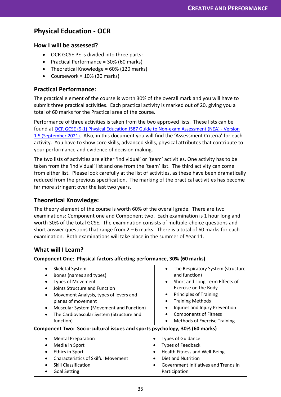# **Physical Education - OCR**

#### **How I will be assessed?**

- OCR GCSE PE is divided into three parts:
- Practical Performance = 30% (60 marks)
- Theoretical Knowledge =  $60\%$  (120 marks)
- Coursework =  $10\%$  (20 marks)

#### **Practical Performance:**

The practical element of the course is worth 30% of the overall mark and you will have to submit three practical activities. Each practical activity is marked out of 20, giving you a total of 60 marks for the Practical area of the course.

Performance of three activities is taken from the two approved lists. These lists can be found at [OCR GCSE \(9-1\) Physical Education J587 Guide to Non-exam Assessment \(NEA\) -](https://www.ocr.org.uk/Images/234827-guide-to-non-exam-assessment-gcse.pdf) Version [1.5 \(September 2021\).](https://www.ocr.org.uk/Images/234827-guide-to-non-exam-assessment-gcse.pdf) Also, in this document you will find the 'Assessment Criteria' for each activity. You have to show core skills, advanced skills, physical attributes that contribute to your performance and evidence of decision making.

The two lists of activities are either 'individual' or 'team' activities. One activity has to be taken from the 'individual' list and one from the 'team' list. The third activity can come from either list. Please look carefully at the list of activities, as these have been dramatically reduced from the previous specification. The marking of the practical activities has become far more stringent over the last two years.

#### **Theoretical Knowledge:**

The theory element of the course is worth 60% of the overall grade. There are two examinations: Component one and Component two. Each examination is 1 hour long and worth 30% of the total GCSE. The examination consists of multiple-choice questions and short answer questions that range from  $2 - 6$  marks. There is a total of 60 marks for each examination. Both examinations will take place in the summer of Year 11.

## **What will I Learn?**

#### **Component One: Physical factors affecting performance, 30% (60 marks)**

| Skeletal System                                                            | The Respiratory System (structure                 |
|----------------------------------------------------------------------------|---------------------------------------------------|
| Bones (names and types)                                                    | and function)                                     |
| <b>Types of Movement</b>                                                   | Short and Long Term Effects of<br>$\bullet$       |
| Joints Structure and Function                                              | Exercise on the Body                              |
| Movement Analysis, types of levers and<br>$\bullet$                        | <b>Principles of Training</b>                     |
| planes of movement                                                         | <b>Training Methods</b>                           |
| Muscular System (Movement and Function)<br>$\bullet$                       | Injuries and Injury Prevention                    |
| The Cardiovascular System (Structure and<br>$\bullet$                      | <b>Components of Fitness</b>                      |
| function)                                                                  | <b>Methods of Exercise Training</b><br>$\bullet$  |
| Component Two: Socio-cultural issues and sports psychology, 30% (60 marks) |                                                   |
| <b>Mental Preparation</b>                                                  | <b>Types of Guidance</b><br>٠                     |
| Media in Sport                                                             | <b>Types of Feedback</b>                          |
| Ethics in Sport                                                            | Health Fitness and Well-Being<br>$\bullet$        |
| <b>Characteristics of Skilful Movement</b>                                 | Diet and Nutrition                                |
| <b>Skill Classification</b>                                                | Government Initiatives and Trends in<br>$\bullet$ |
| <b>Goal Setting</b>                                                        | Participation                                     |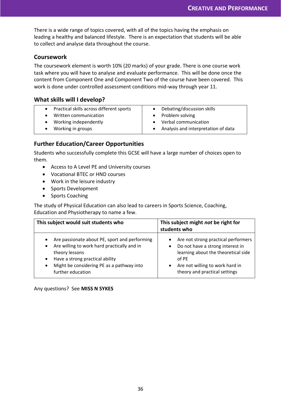There is a wide range of topics covered, with all of the topics having the emphasis on leading a healthy and balanced lifestyle. There is an expectation that students will be able to collect and analyse data throughout the course.

#### **Coursework**

The coursework element is worth 10% (20 marks) of your grade. There is one course work task where you will have to analyse and evaluate performance. This will be done once the content from Component One and Component Two of the course have been covered. This work is done under controlled assessment conditions mid-way through year 11.

#### **What skills will I develop?**

| Practical skills across different sports | Debating/discussion skills          |
|------------------------------------------|-------------------------------------|
| Written communication                    | Problem solving                     |
| Working independently                    | Verbal communication                |
| Working in groups                        | Analysis and interpretation of data |

## **Further Education/Career Opportunities**

Students who successfully complete this GCSE will have a large number of choices open to them.

- Access to A Level PE and University courses
- Vocational BTEC or HND courses
- Work in the leisure industry
- Sports Development
- Sports Coaching

The study of Physical Education can also lead to careers in Sports Science, Coaching, Education and Physiotherapy to name a few.

| This subject would suit students who                                                                                                                                                                                                                    | This subject might not be right for<br>students who                                                                                                                                                      |  |
|---------------------------------------------------------------------------------------------------------------------------------------------------------------------------------------------------------------------------------------------------------|----------------------------------------------------------------------------------------------------------------------------------------------------------------------------------------------------------|--|
| Are passionate about PE, sport and performing<br>$\bullet$<br>Are willing to work hard practically and in<br>٠<br>theory lessons<br>Have a strong practical ability<br>$\bullet$<br>Might be considering PE as a pathway into<br>٠<br>further education | Are not strong practical performers<br>Do not have a strong interest in<br>$\bullet$<br>learning about the theoretical side<br>of PE<br>Are not willing to work hard in<br>theory and practical settings |  |

Any questions? See **MISS N SYKES**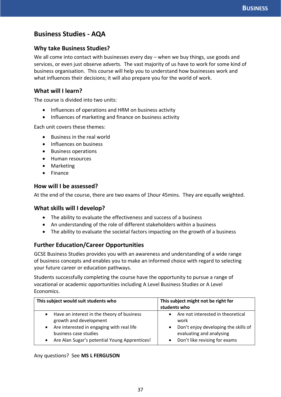# <span id="page-37-0"></span>**Business Studies - AQA**

#### **Why take Business Studies?**

We all come into contact with businesses every day – when we buy things, use goods and services, or even just observe adverts. The vast majority of us have to work for some kind of business organisation. This course will help you to understand how businesses work and what influences their decisions; it will also prepare you for the world of work.

#### **What will I learn?**

The course is divided into two units:

- Influences of operations and HRM on business activity
- Influences of marketing and finance on business activity

Each unit covers these themes:

- Business in the real world
- Influences on business
- Business operations
- Human resources
- Marketing
- Finance

#### **How will I be assessed?**

At the end of the course, there are two exams of 1hour 45mins. They are equally weighted.

#### **What skills will I develop?**

- The ability to evaluate the effectiveness and success of a business
- An understanding of the role of different stakeholders within a business
- The ability to evaluate the societal factors impacting on the growth of a business

#### **Further Education/Career Opportunities**

GCSE Business Studies provides you with an awareness and understanding of a wide range of business concepts and enables you to make an informed choice with regard to selecting your future career or education pathways.

Students successfully completing the course have the opportunity to pursue a range of vocational or academic opportunities including A Level Business Studies or A Level Economics.

| This subject would suit students who          | This subject might not be right for<br>students who |  |  |
|-----------------------------------------------|-----------------------------------------------------|--|--|
| Have an interest in the theory of business    | Are not interested in theoretical                   |  |  |
| growth and development                        | work                                                |  |  |
| Are interested in engaging with real life     | Don't enjoy developing the skills of                |  |  |
| business case studies                         | evaluating and analysing                            |  |  |
| Are Alan Sugar's potential Young Apprentices! | Don't like revising for exams                       |  |  |

#### Any questions? See **MS L FERGUSON**